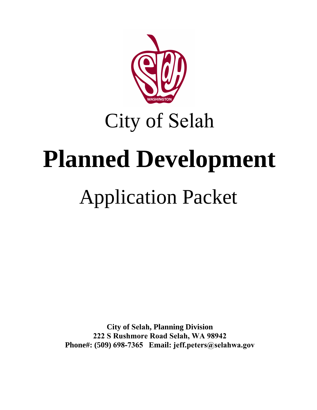

City of Selah

# **Planned Development**

## Application Packet

**City of Selah, Planning Division 222 S Rushmore Road Selah, WA 98942 Phone#: (509) 698-7365 Email: jeff.peters@selahwa.gov**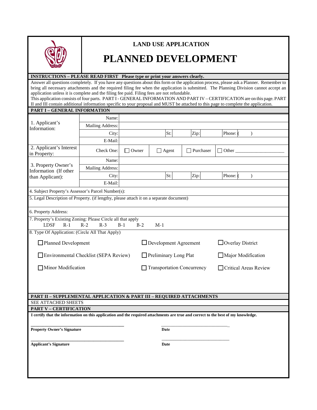

### **LAND USE APPLICATION**

## **PLANNED DEVELOPMENT**

#### **INSTRUCTIONS – PLEASE READ FIRST Please type or print your answers clearly.**

Answer all questions completely. If you have any questions about this form or the application process, please ask a Planner. Remember to bring all necessary attachments and the required filing fee when the application is submitted. The Planning Division cannot accept an application unless it is complete and the filing fee paid. Filing fees are not refundable.

This application consists of four parts. PART I - GENERAL INFORMATION AND PART IV – CERTIFICATION are on this page. PART II and III contain additional information specific to your proposal and MUST be attached to this page to complete the application.

| PART I - GENERAL INFORMATION                                                                                                      |                  |                |                                   |           |                           |
|-----------------------------------------------------------------------------------------------------------------------------------|------------------|----------------|-----------------------------------|-----------|---------------------------|
| 1. Applicant's<br>Information:                                                                                                    | Name:            |                |                                   |           |                           |
|                                                                                                                                   | Mailing Address: |                |                                   |           |                           |
|                                                                                                                                   | City:            |                | St:                               | Zip:      | Phone: (<br>$\mathcal{L}$ |
|                                                                                                                                   | E-Mail:          |                |                                   |           |                           |
| 2. Applicant's Interest<br>in Property:                                                                                           | Check One:       | Owner          | $\Box$ Agent                      | Purchaser | <b>Other</b>              |
| 3. Property Owner's<br>Information (If other<br>than Applicant):                                                                  | Name:            |                |                                   |           |                           |
|                                                                                                                                   | Mailing Address: |                |                                   |           |                           |
|                                                                                                                                   | City:            |                | St:                               | Zip:      | Phone: (<br>$\mathcal{E}$ |
|                                                                                                                                   | E-Mail:          |                |                                   |           |                           |
| 4. Subject Property's Assessor's Parcel Number(s):                                                                                |                  |                |                                   |           |                           |
| 5. Legal Description of Property. (if lengthy, please attach it on a separate document)                                           |                  |                |                                   |           |                           |
| 6. Property Address:                                                                                                              |                  |                |                                   |           |                           |
| 7. Property's Existing Zoning: Please Circle all that apply<br><b>LDSF</b><br>$R-1$                                               | $R-2$<br>$R-3$   | $B-1$<br>$B-2$ | $M-1$                             |           |                           |
| 8. Type Of Application: (Circle All That Apply)                                                                                   |                  |                |                                   |           |                           |
| $\Box$ Planned Development                                                                                                        |                  |                | $\Box$ Development Agreement      |           | $\Box$ Overlay District   |
| Environmental Checklist (SEPA Review)                                                                                             |                  |                | $\Box$ Preliminary Long Plat      |           | Major Modification        |
| Minor Modification                                                                                                                |                  |                | <b>Transportation Concurrency</b> |           | Critical Areas Review     |
|                                                                                                                                   |                  |                |                                   |           |                           |
|                                                                                                                                   |                  |                |                                   |           |                           |
| <b>PART II - SUPPLEMENTAL APPLICATION &amp; PART III - REQUIRED ATTACHMENTS</b><br>SEE ATTACHED SHEETS                            |                  |                |                                   |           |                           |
| <b>PART V - CERTIFICATION</b>                                                                                                     |                  |                |                                   |           |                           |
| I certify that the information on this application and the required attachments are true and correct to the best of my knowledge. |                  |                |                                   |           |                           |
|                                                                                                                                   |                  |                |                                   |           |                           |
| <b>Property Owner's Signature</b>                                                                                                 |                  |                | Date                              |           |                           |
| <b>Applicant's Signature</b>                                                                                                      |                  |                | Date                              |           |                           |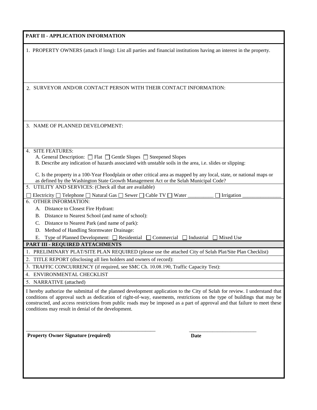| PART II - APPLICATION INFORMATION                                                                                                                                                                                                                                                                                                                                                                                                          |
|--------------------------------------------------------------------------------------------------------------------------------------------------------------------------------------------------------------------------------------------------------------------------------------------------------------------------------------------------------------------------------------------------------------------------------------------|
| 1. PROPERTY OWNERS (attach if long): List all parties and financial institutions having an interest in the property.                                                                                                                                                                                                                                                                                                                       |
| 2. SURVEYOR AND/OR CONTACT PERSON WITH THEIR CONTACT INFORMATION:                                                                                                                                                                                                                                                                                                                                                                          |
| 3. NAME OF PLANNED DEVELOPMENT:                                                                                                                                                                                                                                                                                                                                                                                                            |
| 4. SITE FEATURES:<br>A. General Description: $\Box$ Flat $\Box$ Gentle Slopes $\Box$ Steepened Slopes<br>B. Describe any indication of hazards associated with unstable soils in the area, i.e. slides or slipping:<br>C. Is the property in a 100-Year Floodplain or other critical area as mapped by any local, state, or national maps or<br>as defined by the Washington State Growth Management Act or the Selah Municipal Code?      |
| 5. UTILITY AND SERVICES: (Check all that are available)<br>Electricity □ Telephone □ Natural Gas □ Sewer □ Cable TV □ Water _<br>Irrigation<br>6. OTHER INFORMATION:<br>A. Distance to Closest Fire Hydrant:<br>B. Distance to Nearest School (and name of school):                                                                                                                                                                        |
| Distance to Nearest Park (and name of park):<br>C.<br>Method of Handling Stormwater Drainage:<br>D.<br>Type of Planned Development: □ Residential<br>Е.<br>$Commercial$ Industrial<br>$\Box$ Mixed Use<br>PART III - REQUIRED ATTACHMENTS                                                                                                                                                                                                  |
| 1. PRELIMINARY PLAT/SITE PLAN REQUIRED (please use the attached City of Selah Plat/Site Plan Checklist)<br>$\overline{2}$<br>TITLE REPORT (disclosing all lien holders and owners of record):<br>3. TRAFFIC CONCURRENCY (if required, see SMC Ch. 10.08.190, Traffic Capacity Test):<br>4. ENVIRONMENTAL CHECKLIST<br>5. NARRATIVE (attached)                                                                                              |
| I hereby authorize the submittal of the planned development application to the City of Selah for review. I understand that<br>conditions of approval such as dedication of right-of-way, easements, restrictions on the type of buildings that may be<br>constructed, and access restrictions from public roads may be imposed as a part of approval and that failure to meet these<br>conditions may result in denial of the development. |
| <b>Property Owner Signature (required)</b><br>Date                                                                                                                                                                                                                                                                                                                                                                                         |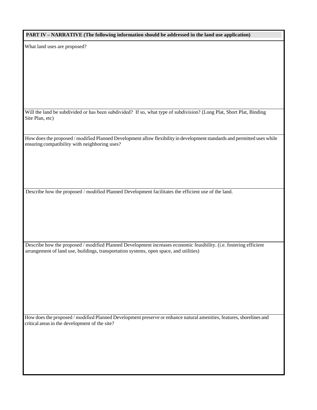| PART IV – NARRATIVE (The following information should be addressed in the land use application) |  |
|-------------------------------------------------------------------------------------------------|--|
|-------------------------------------------------------------------------------------------------|--|

What land uses are proposed?

Will the land be subdivided or has been subdivided? If so, what type of subdivision? (Long Plat, Short Plat, Binding Site Plan, etc)

How does the proposed / modified Planned Development allow flexibility in development standards and permitted uses while ensuring compatibility with neighboring uses?

Describe how the proposed / modified Planned Development facilitates the efficient use of the land.

Describe how the proposed / modified Planned Development increases economic feasibility. (i.e. fostering efficient arrangement of land use, buildings, transportation systems, open space, and utilities)

How does the proposed / modified Planned Development preserve or enhance natural amenities, features, shorelines and critical areas in the development of the site?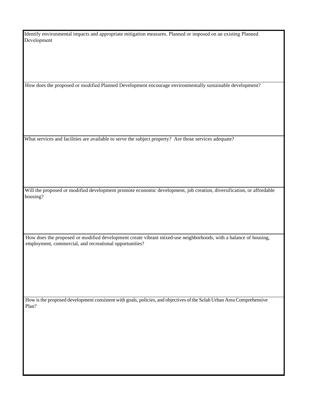Identify environmental impacts and appropriate mitigation measures. Planned or imposed on an existing Planned Development

How does the proposed or modified Planned Development encourage environmentally sustainable development?

What services and facilities are available to serve the subject property? Are those services adequate?

Will the proposed or modified development promote economic development, job creation, diversification, or affordable housing?

How does the proposed or modified development create vibrant mixed-use neighborhoods, with a balance of housing, employment, commercial, and recreational opportunities?

How is the proposed development consistent with goals, policies, and objectives of the Selah Urban Area Comprehensive Plan?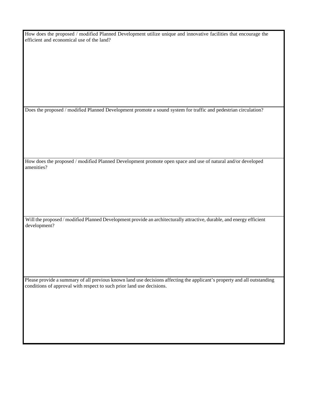How does the proposed / modified Planned Development utilize unique and innovative facilities that encourage the efficient and economical use of the land?

Does the proposed / modified Planned Development promote a sound system for traffic and pedestrian circulation?

How does the proposed / modified Planned Development promote open space and use of natural and/or developed amenities?

Will the proposed / modified Planned Development provide an architecturally attractive, durable, and energy efficient development?

Please provide a summary of all previous known land use decisions affecting the applicant's property and all outstanding conditions of approval with respect to such prior land use decisions.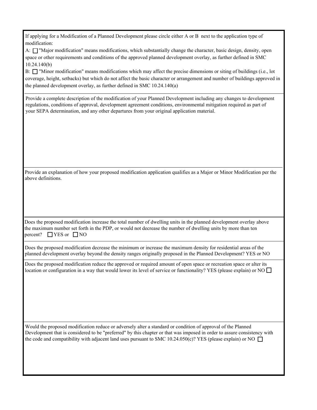| If applying for a Modification of a Planned Development please circle either A or B next to the application type of<br>modification:                                                                                                                                                                                                                           |
|----------------------------------------------------------------------------------------------------------------------------------------------------------------------------------------------------------------------------------------------------------------------------------------------------------------------------------------------------------------|
| A: □ "Major modification" means modifications, which substantially change the character, basic design, density, open<br>space or other requirements and conditions of the approved planned development overlay, as further defined in SMC<br>10.24.140(b)                                                                                                      |
| B: T "Minor modification" means modifications which may affect the precise dimensions or siting of buildings (i.e., lot<br>coverage, height, setbacks) but which do not affect the basic character or arrangement and number of buildings approved in<br>the planned development overlay, as further defined in SMC 10.24.140(a)                               |
| Provide a complete description of the modification of your Planned Development including any changes to development<br>regulations, conditions of approval, development agreement conditions, environmental mitigation required as part of<br>your SEPA determination, and any other departures from your original application material.                       |
| Provide an explanation of how your proposed modification application qualifies as a Major or Minor Modification per the                                                                                                                                                                                                                                        |
| above definitions.                                                                                                                                                                                                                                                                                                                                             |
| Does the proposed modification increase the total number of dwelling units in the planned development overlay above<br>the maximum number set forth in the PDP, or would not decrease the number of dwelling units by more than ten<br>percent? $\Box$ YES or $\Box$ NO                                                                                        |
| Does the proposed modification decrease the minimum or increase the maximum density for residential areas of the<br>planned development overlay beyond the density ranges originally proposed in the Planned Development? YES or NO                                                                                                                            |
| Does the proposed modification reduce the approved or required amount of open space or recreation space or alter its<br>location or configuration in a way that would lower its level of service or functionality? YES (please explain) or NO $\Box$                                                                                                           |
| Would the proposed modification reduce or adversely alter a standard or condition of approval of the Planned<br>Development that is considered to be "preferred" by this chapter or that was imposed in order to assure consistency with<br>the code and compatibility with adjacent land uses pursuant to SMC 10.24.050(c)? YES (please explain) or NO $\Box$ |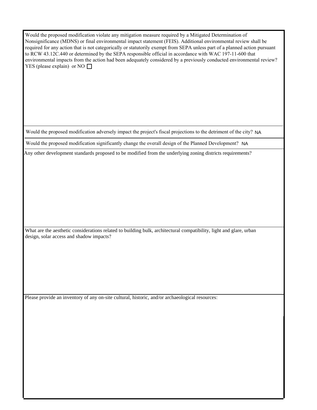| Would the proposed modification violate any mitigation measure required by a Mitigated Determination of                    |
|----------------------------------------------------------------------------------------------------------------------------|
| Nonsignificance (MDNS) or final environmental impact statement (FEIS). Additional environmental review shall be            |
| required for any action that is not categorically or statutorily exempt from SEPA unless part of a planned action pursuant |
| to RCW 43.12C.440 or determined by the SEPA responsible official in accordance with WAC 197-11-600 that                    |
| environmental impacts from the action had been adequately considered by a previously conducted environmental review?       |
| YES (please explain) or NO $\Box$                                                                                          |

Would the proposed modification adversely impact the project's fiscal projections to the detriment of the city? NA

Would the proposed modification significantly change the overall design of the Planned Development? NA

Any other development standards proposed to be modified from the underlying zoning districts requirements?

What are the aesthetic considerations related to building bulk, architectural compatibility, light and glare, urban design, solar access and shadow impacts?

Please provide an inventory of any on-site cultural, historic, and/or archaeological resources: